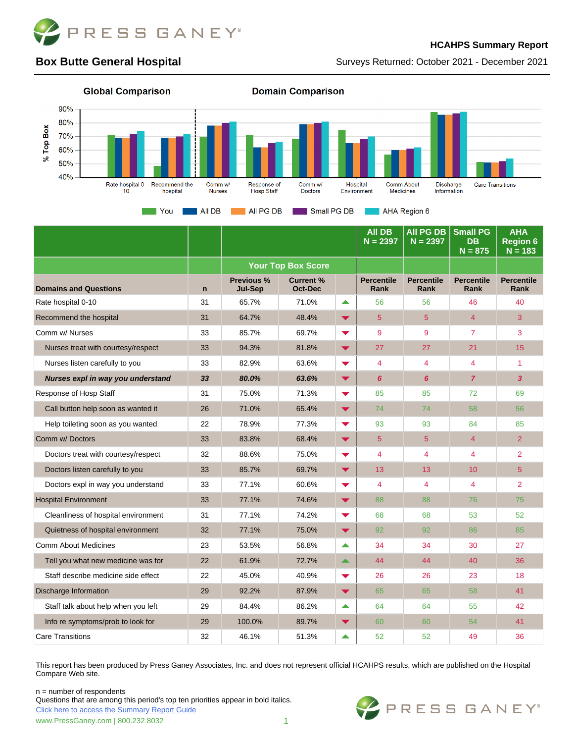

#### **HCAHPS Summary Report**

#### Surveys Returned: October 2021 - December 2021

# **Box Butte General Hospital**



|                                     |              |                                     |                                    |                      | <b>AII DB</b><br>$N = 2397$ | <b>All PG DB</b><br>$N = 2397$ | <b>Small PG</b><br><b>DB</b><br>$N = 875$ | <b>AHA</b><br><b>Region 6</b><br>$N = 183$ |
|-------------------------------------|--------------|-------------------------------------|------------------------------------|----------------------|-----------------------------|--------------------------------|-------------------------------------------|--------------------------------------------|
|                                     |              | <b>Your Top Box Score</b>           |                                    |                      |                             |                                |                                           |                                            |
| <b>Domains and Questions</b>        | $\mathsf{n}$ | <b>Previous %</b><br><b>Jul-Sep</b> | <b>Current %</b><br><b>Oct-Dec</b> |                      | <b>Percentile</b><br>Rank   | <b>Percentile</b><br>Rank      | <b>Percentile</b><br><b>Rank</b>          | <b>Percentile</b><br><b>Rank</b>           |
| Rate hospital 0-10                  | 31           | 65.7%                               | 71.0%                              | ▲                    | 56                          | 56                             | 46                                        | 40                                         |
| Recommend the hospital              | 31           | 64.7%                               | 48.4%                              | $\blacktriangledown$ | 5                           | 5                              | 4                                         | 3                                          |
| Comm w/ Nurses                      | 33           | 85.7%                               | 69.7%                              | $\blacktriangledown$ | 9                           | 9                              | $\overline{7}$                            | 3                                          |
| Nurses treat with courtesy/respect  | 33           | 94.3%                               | 81.8%                              | $\blacktriangledown$ | 27                          | 27                             | 21                                        | 15                                         |
| Nurses listen carefully to you      | 33           | 82.9%                               | 63.6%                              | $\blacktriangledown$ | $\overline{4}$              | 4                              | 4                                         | $\overline{1}$                             |
| Nurses expl in way you understand   | 33           | 80.0%                               | 63.6%                              | $\blacktriangledown$ | 6                           | 6                              | $\overline{z}$                            | 3                                          |
| Response of Hosp Staff              | 31           | 75.0%                               | 71.3%                              | $\blacktriangledown$ | 85                          | 85                             | 72                                        | 69                                         |
| Call button help soon as wanted it  | 26           | 71.0%                               | 65.4%                              | $\blacktriangledown$ | 74                          | 74                             | 58                                        | 56                                         |
| Help toileting soon as you wanted   | 22           | 78.9%                               | 77.3%                              | $\blacktriangledown$ | 93                          | 93                             | 84                                        | 85                                         |
| Comm w/ Doctors                     | 33           | 83.8%                               | 68.4%                              | ▼                    | 5                           | 5                              | 4                                         | $\overline{2}$                             |
| Doctors treat with courtesy/respect | 32           | 88.6%                               | 75.0%                              | $\blacktriangledown$ | $\overline{4}$              | 4                              | 4                                         | 2                                          |
| Doctors listen carefully to you     | 33           | 85.7%                               | 69.7%                              | $\blacktriangledown$ | 13                          | 13                             | 10 <sup>1</sup>                           | $\overline{5}$                             |
| Doctors expl in way you understand  | 33           | 77.1%                               | 60.6%                              | $\blacktriangledown$ | $\overline{4}$              | 4                              | $\overline{\mathbf{4}}$                   | $\overline{2}$                             |
| <b>Hospital Environment</b>         | 33           | 77.1%                               | 74.6%                              | $\blacktriangledown$ | 88                          | 88                             | 76                                        | 75                                         |
| Cleanliness of hospital environment | 31           | 77.1%                               | 74.2%                              | $\blacktriangledown$ | 68                          | 68                             | 53                                        | 52                                         |
| Quietness of hospital environment   | 32           | 77.1%                               | 75.0%                              | $\blacktriangledown$ | 92                          | 92                             | 86                                        | 85                                         |
| <b>Comm About Medicines</b>         | 23           | 53.5%                               | 56.8%                              | ▲                    | 34                          | 34                             | 30                                        | 27                                         |
| Tell you what new medicine was for  | 22           | 61.9%                               | 72.7%                              | $\blacktriangle$     | 44                          | 44                             | 40                                        | 36                                         |
| Staff describe medicine side effect | 22           | 45.0%                               | 40.9%                              | $\blacktriangledown$ | 26                          | 26                             | 23                                        | 18                                         |
| Discharge Information               | 29           | 92.2%                               | 87.9%                              | $\blacktriangledown$ | 65                          | 65                             | 58                                        | 41                                         |
| Staff talk about help when you left | 29           | 84.4%                               | 86.2%                              | $\blacktriangle$     | 64                          | 64                             | 55                                        | 42                                         |
| Info re symptoms/prob to look for   | 29           | 100.0%                              | 89.7%                              | ▼                    | 60                          | 60                             | 54                                        | 41                                         |
| <b>Care Transitions</b>             | 32           | 46.1%                               | 51.3%                              | ▲                    | 52                          | 52                             | 49                                        | 36                                         |

This report has been produced by Press Ganey Associates, Inc. and does not represent official HCAHPS results, which are published on the Hospital Compare Web site.

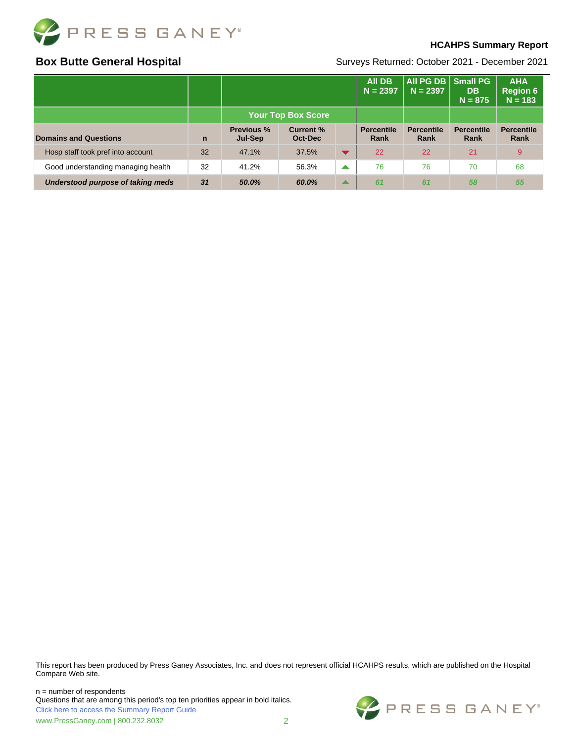

#### **HCAHPS Summary Report**

## **Box Butte General Hospital**

Surveys Returned: October 2021 - December 2021

|                                    |              |                              |                             |                      | <b>AII DB</b><br>$N = 2397$ | All PG DB   Small PG<br>$N = 2397$ | <b>DB</b><br>$N = 875$    | <b>AHA</b><br><b>Region 6</b><br>$N = 183$ |
|------------------------------------|--------------|------------------------------|-----------------------------|----------------------|-----------------------------|------------------------------------|---------------------------|--------------------------------------------|
|                                    |              | <b>Your Top Box Score</b>    |                             |                      |                             |                                    |                           |                                            |
| <b>Domains and Questions</b>       | $\mathsf{n}$ | <b>Previous %</b><br>Jul-Sep | <b>Current %</b><br>Oct-Dec |                      | <b>Percentile</b><br>Rank   | <b>Percentile</b><br>Rank          | <b>Percentile</b><br>Rank | <b>Percentile</b><br>Rank                  |
| Hosp staff took pref into account  | 32           | 47.1%                        | 37.5%                       | $\blacktriangledown$ | 22                          | 22                                 | 21                        | 9                                          |
| Good understanding managing health | 32           | 41.2%                        | 56.3%                       | ▲                    | 76                          | 76                                 | 70                        | 68                                         |
| Understood purpose of taking meds  | 31           | 50.0%                        | 60.0%                       | $\blacktriangle$     | 61                          | 61                                 | 58                        | 55                                         |

This report has been produced by Press Ganey Associates, Inc. and does not represent official HCAHPS results, which are published on the Hospital Compare Web site.